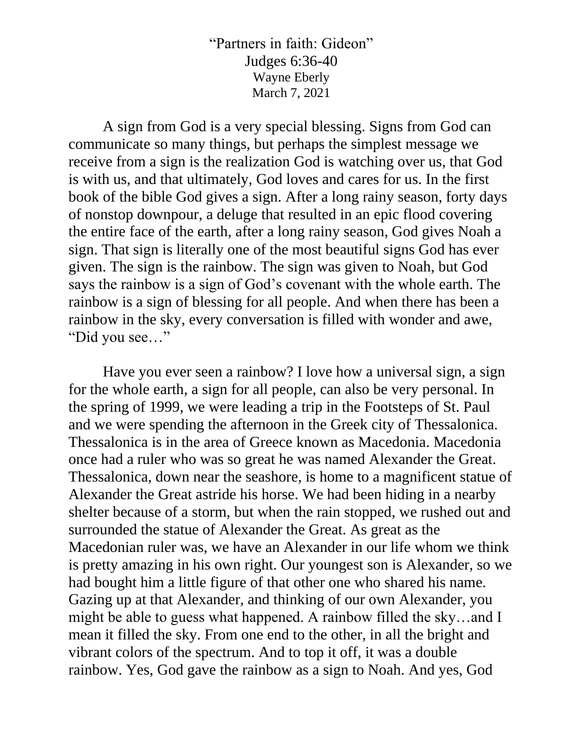"Partners in faith: Gideon" Judges 6:36-40 Wayne Eberly March 7, 2021

A sign from God is a very special blessing. Signs from God can communicate so many things, but perhaps the simplest message we receive from a sign is the realization God is watching over us, that God is with us, and that ultimately, God loves and cares for us. In the first book of the bible God gives a sign. After a long rainy season, forty days of nonstop downpour, a deluge that resulted in an epic flood covering the entire face of the earth, after a long rainy season, God gives Noah a sign. That sign is literally one of the most beautiful signs God has ever given. The sign is the rainbow. The sign was given to Noah, but God says the rainbow is a sign of God's covenant with the whole earth. The rainbow is a sign of blessing for all people. And when there has been a rainbow in the sky, every conversation is filled with wonder and awe, "Did you see…"

Have you ever seen a rainbow? I love how a universal sign, a sign for the whole earth, a sign for all people, can also be very personal. In the spring of 1999, we were leading a trip in the Footsteps of St. Paul and we were spending the afternoon in the Greek city of Thessalonica. Thessalonica is in the area of Greece known as Macedonia. Macedonia once had a ruler who was so great he was named Alexander the Great. Thessalonica, down near the seashore, is home to a magnificent statue of Alexander the Great astride his horse. We had been hiding in a nearby shelter because of a storm, but when the rain stopped, we rushed out and surrounded the statue of Alexander the Great. As great as the Macedonian ruler was, we have an Alexander in our life whom we think is pretty amazing in his own right. Our youngest son is Alexander, so we had bought him a little figure of that other one who shared his name. Gazing up at that Alexander, and thinking of our own Alexander, you might be able to guess what happened. A rainbow filled the sky…and I mean it filled the sky. From one end to the other, in all the bright and vibrant colors of the spectrum. And to top it off, it was a double rainbow. Yes, God gave the rainbow as a sign to Noah. And yes, God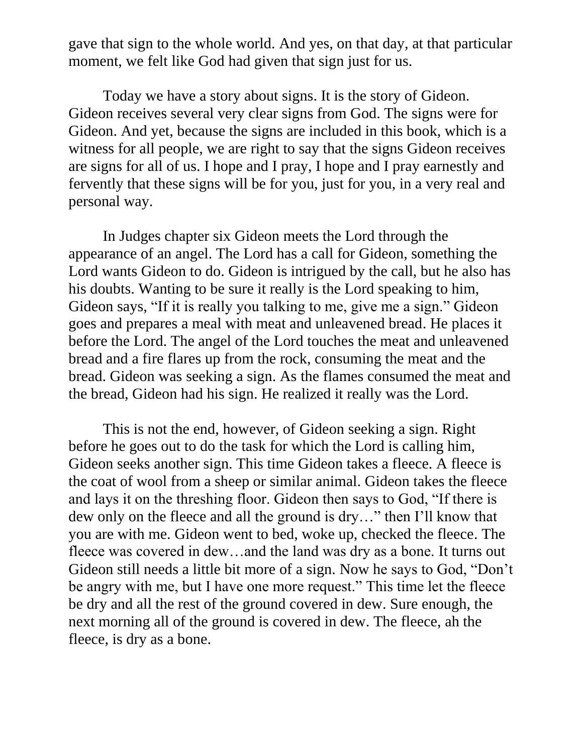gave that sign to the whole world. And yes, on that day, at that particular moment, we felt like God had given that sign just for us.

Today we have a story about signs. It is the story of Gideon. Gideon receives several very clear signs from God. The signs were for Gideon. And yet, because the signs are included in this book, which is a witness for all people, we are right to say that the signs Gideon receives are signs for all of us. I hope and I pray, I hope and I pray earnestly and fervently that these signs will be for you, just for you, in a very real and personal way.

In Judges chapter six Gideon meets the Lord through the appearance of an angel. The Lord has a call for Gideon, something the Lord wants Gideon to do. Gideon is intrigued by the call, but he also has his doubts. Wanting to be sure it really is the Lord speaking to him, Gideon says, "If it is really you talking to me, give me a sign." Gideon goes and prepares a meal with meat and unleavened bread. He places it before the Lord. The angel of the Lord touches the meat and unleavened bread and a fire flares up from the rock, consuming the meat and the bread. Gideon was seeking a sign. As the flames consumed the meat and the bread, Gideon had his sign. He realized it really was the Lord.

This is not the end, however, of Gideon seeking a sign. Right before he goes out to do the task for which the Lord is calling him, Gideon seeks another sign. This time Gideon takes a fleece. A fleece is the coat of wool from a sheep or similar animal. Gideon takes the fleece and lays it on the threshing floor. Gideon then says to God, "If there is dew only on the fleece and all the ground is dry…" then I'll know that you are with me. Gideon went to bed, woke up, checked the fleece. The fleece was covered in dew…and the land was dry as a bone. It turns out Gideon still needs a little bit more of a sign. Now he says to God, "Don't be angry with me, but I have one more request." This time let the fleece be dry and all the rest of the ground covered in dew. Sure enough, the next morning all of the ground is covered in dew. The fleece, ah the fleece, is dry as a bone.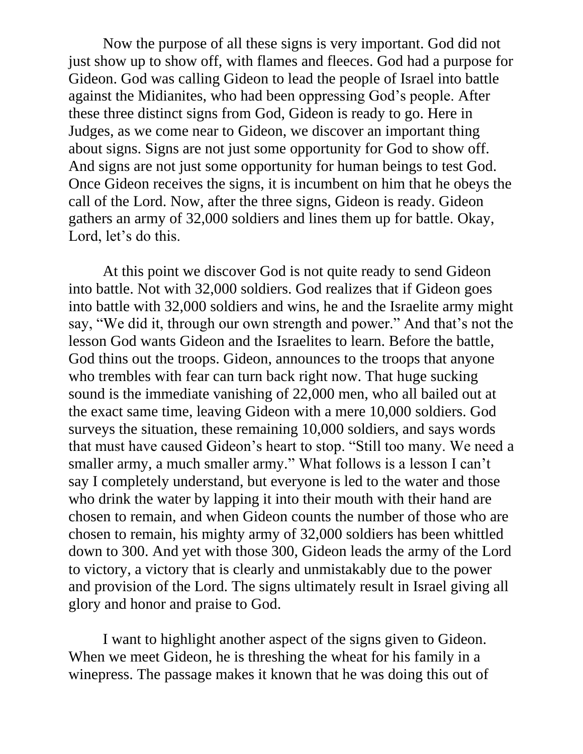Now the purpose of all these signs is very important. God did not just show up to show off, with flames and fleeces. God had a purpose for Gideon. God was calling Gideon to lead the people of Israel into battle against the Midianites, who had been oppressing God's people. After these three distinct signs from God, Gideon is ready to go. Here in Judges, as we come near to Gideon, we discover an important thing about signs. Signs are not just some opportunity for God to show off. And signs are not just some opportunity for human beings to test God. Once Gideon receives the signs, it is incumbent on him that he obeys the call of the Lord. Now, after the three signs, Gideon is ready. Gideon gathers an army of 32,000 soldiers and lines them up for battle. Okay, Lord, let's do this.

At this point we discover God is not quite ready to send Gideon into battle. Not with 32,000 soldiers. God realizes that if Gideon goes into battle with 32,000 soldiers and wins, he and the Israelite army might say, "We did it, through our own strength and power." And that's not the lesson God wants Gideon and the Israelites to learn. Before the battle, God thins out the troops. Gideon, announces to the troops that anyone who trembles with fear can turn back right now. That huge sucking sound is the immediate vanishing of 22,000 men, who all bailed out at the exact same time, leaving Gideon with a mere 10,000 soldiers. God surveys the situation, these remaining 10,000 soldiers, and says words that must have caused Gideon's heart to stop. "Still too many. We need a smaller army, a much smaller army." What follows is a lesson I can't say I completely understand, but everyone is led to the water and those who drink the water by lapping it into their mouth with their hand are chosen to remain, and when Gideon counts the number of those who are chosen to remain, his mighty army of 32,000 soldiers has been whittled down to 300. And yet with those 300, Gideon leads the army of the Lord to victory, a victory that is clearly and unmistakably due to the power and provision of the Lord. The signs ultimately result in Israel giving all glory and honor and praise to God.

I want to highlight another aspect of the signs given to Gideon. When we meet Gideon, he is threshing the wheat for his family in a winepress. The passage makes it known that he was doing this out of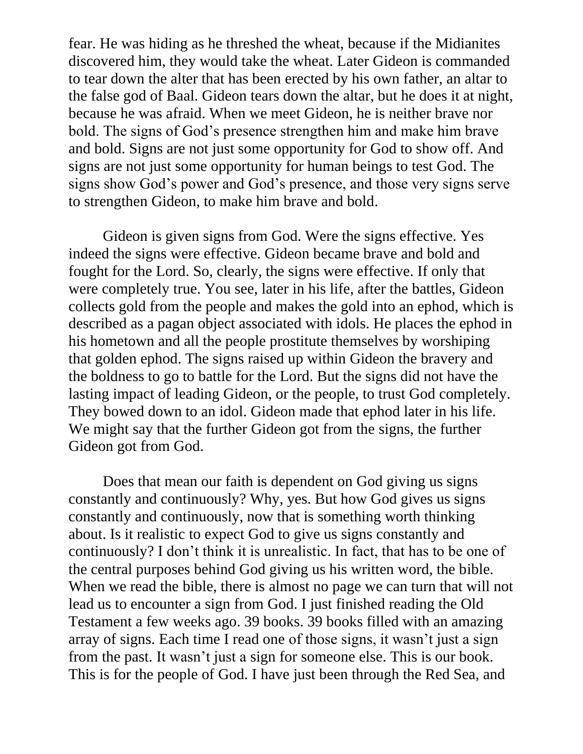fear. He was hiding as he threshed the wheat, because if the Midianites discovered him, they would take the wheat. Later Gideon is commanded to tear down the alter that has been erected by his own father, an altar to the false god of Baal. Gideon tears down the altar, but he does it at night, because he was afraid. When we meet Gideon, he is neither brave nor bold. The signs of God's presence strengthen him and make him brave and bold. Signs are not just some opportunity for God to show off. And signs are not just some opportunity for human beings to test God. The signs show God's power and God's presence, and those very signs serve to strengthen Gideon, to make him brave and bold.

Gideon is given signs from God. Were the signs effective. Yes indeed the signs were effective. Gideon became brave and bold and fought for the Lord. So, clearly, the signs were effective. If only that were completely true. You see, later in his life, after the battles, Gideon collects gold from the people and makes the gold into an ephod, which is described as a pagan object associated with idols. He places the ephod in his hometown and all the people prostitute themselves by worshiping that golden ephod. The signs raised up within Gideon the bravery and the boldness to go to battle for the Lord. But the signs did not have the lasting impact of leading Gideon, or the people, to trust God completely. They bowed down to an idol. Gideon made that ephod later in his life. We might say that the further Gideon got from the signs, the further Gideon got from God.

Does that mean our faith is dependent on God giving us signs constantly and continuously? Why, yes. But how God gives us signs constantly and continuously, now that is something worth thinking about. Is it realistic to expect God to give us signs constantly and continuously? I don't think it is unrealistic. In fact, that has to be one of the central purposes behind God giving us his written word, the bible. When we read the bible, there is almost no page we can turn that will not lead us to encounter a sign from God. I just finished reading the Old Testament a few weeks ago. 39 books. 39 books filled with an amazing array of signs. Each time I read one of those signs, it wasn't just a sign from the past. It wasn't just a sign for someone else. This is our book. This is for the people of God. I have just been through the Red Sea, and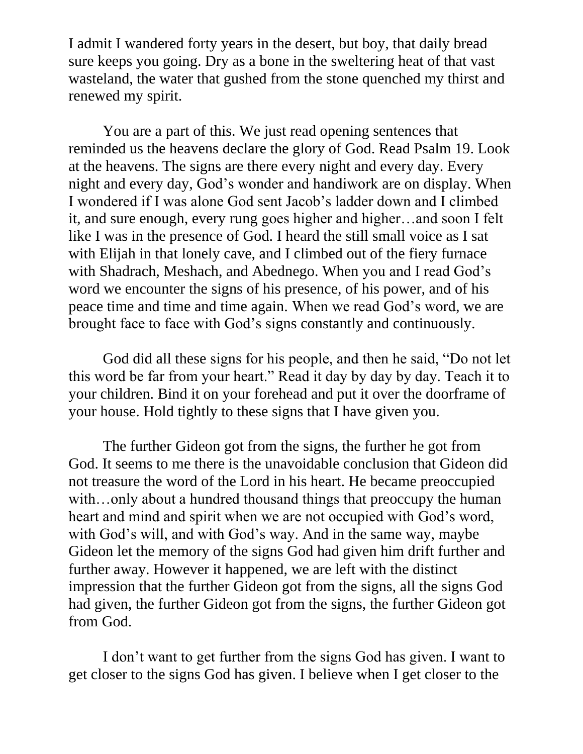I admit I wandered forty years in the desert, but boy, that daily bread sure keeps you going. Dry as a bone in the sweltering heat of that vast wasteland, the water that gushed from the stone quenched my thirst and renewed my spirit.

You are a part of this. We just read opening sentences that reminded us the heavens declare the glory of God. Read Psalm 19. Look at the heavens. The signs are there every night and every day. Every night and every day, God's wonder and handiwork are on display. When I wondered if I was alone God sent Jacob's ladder down and I climbed it, and sure enough, every rung goes higher and higher…and soon I felt like I was in the presence of God. I heard the still small voice as I sat with Elijah in that lonely cave, and I climbed out of the fiery furnace with Shadrach, Meshach, and Abednego. When you and I read God's word we encounter the signs of his presence, of his power, and of his peace time and time and time again. When we read God's word, we are brought face to face with God's signs constantly and continuously.

God did all these signs for his people, and then he said, "Do not let this word be far from your heart." Read it day by day by day. Teach it to your children. Bind it on your forehead and put it over the doorframe of your house. Hold tightly to these signs that I have given you.

The further Gideon got from the signs, the further he got from God. It seems to me there is the unavoidable conclusion that Gideon did not treasure the word of the Lord in his heart. He became preoccupied with…only about a hundred thousand things that preoccupy the human heart and mind and spirit when we are not occupied with God's word, with God's will, and with God's way. And in the same way, maybe Gideon let the memory of the signs God had given him drift further and further away. However it happened, we are left with the distinct impression that the further Gideon got from the signs, all the signs God had given, the further Gideon got from the signs, the further Gideon got from God.

I don't want to get further from the signs God has given. I want to get closer to the signs God has given. I believe when I get closer to the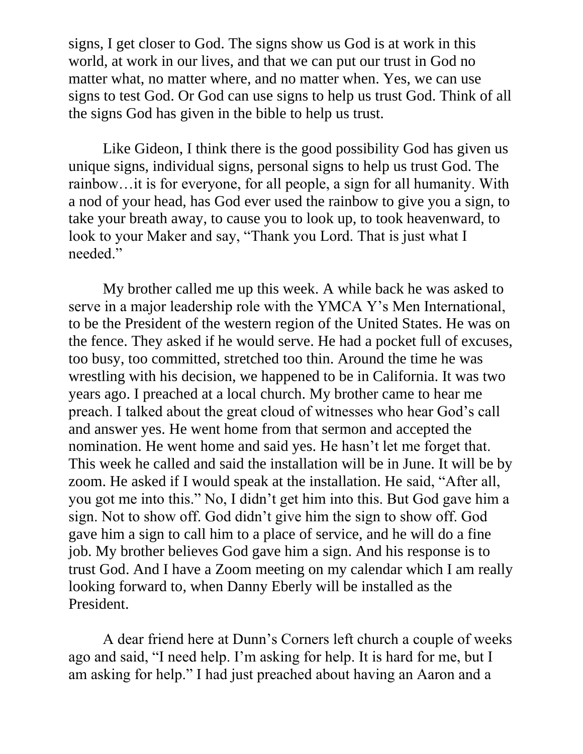signs, I get closer to God. The signs show us God is at work in this world, at work in our lives, and that we can put our trust in God no matter what, no matter where, and no matter when. Yes, we can use signs to test God. Or God can use signs to help us trust God. Think of all the signs God has given in the bible to help us trust.

Like Gideon, I think there is the good possibility God has given us unique signs, individual signs, personal signs to help us trust God. The rainbow…it is for everyone, for all people, a sign for all humanity. With a nod of your head, has God ever used the rainbow to give you a sign, to take your breath away, to cause you to look up, to took heavenward, to look to your Maker and say, "Thank you Lord. That is just what I needed."

My brother called me up this week. A while back he was asked to serve in a major leadership role with the YMCA Y's Men International, to be the President of the western region of the United States. He was on the fence. They asked if he would serve. He had a pocket full of excuses, too busy, too committed, stretched too thin. Around the time he was wrestling with his decision, we happened to be in California. It was two years ago. I preached at a local church. My brother came to hear me preach. I talked about the great cloud of witnesses who hear God's call and answer yes. He went home from that sermon and accepted the nomination. He went home and said yes. He hasn't let me forget that. This week he called and said the installation will be in June. It will be by zoom. He asked if I would speak at the installation. He said, "After all, you got me into this." No, I didn't get him into this. But God gave him a sign. Not to show off. God didn't give him the sign to show off. God gave him a sign to call him to a place of service, and he will do a fine job. My brother believes God gave him a sign. And his response is to trust God. And I have a Zoom meeting on my calendar which I am really looking forward to, when Danny Eberly will be installed as the President.

A dear friend here at Dunn's Corners left church a couple of weeks ago and said, "I need help. I'm asking for help. It is hard for me, but I am asking for help." I had just preached about having an Aaron and a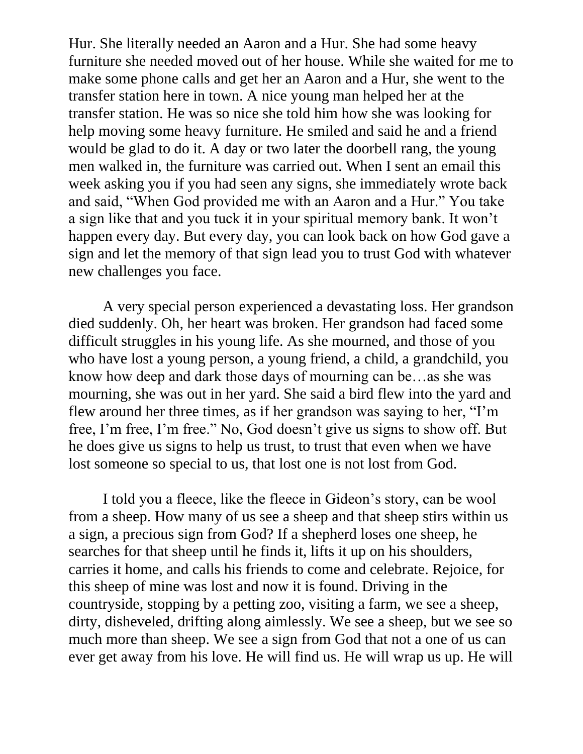Hur. She literally needed an Aaron and a Hur. She had some heavy furniture she needed moved out of her house. While she waited for me to make some phone calls and get her an Aaron and a Hur, she went to the transfer station here in town. A nice young man helped her at the transfer station. He was so nice she told him how she was looking for help moving some heavy furniture. He smiled and said he and a friend would be glad to do it. A day or two later the doorbell rang, the young men walked in, the furniture was carried out. When I sent an email this week asking you if you had seen any signs, she immediately wrote back and said, "When God provided me with an Aaron and a Hur." You take a sign like that and you tuck it in your spiritual memory bank. It won't happen every day. But every day, you can look back on how God gave a sign and let the memory of that sign lead you to trust God with whatever new challenges you face.

A very special person experienced a devastating loss. Her grandson died suddenly. Oh, her heart was broken. Her grandson had faced some difficult struggles in his young life. As she mourned, and those of you who have lost a young person, a young friend, a child, a grandchild, you know how deep and dark those days of mourning can be…as she was mourning, she was out in her yard. She said a bird flew into the yard and flew around her three times, as if her grandson was saying to her, "I'm free, I'm free, I'm free." No, God doesn't give us signs to show off. But he does give us signs to help us trust, to trust that even when we have lost someone so special to us, that lost one is not lost from God.

I told you a fleece, like the fleece in Gideon's story, can be wool from a sheep. How many of us see a sheep and that sheep stirs within us a sign, a precious sign from God? If a shepherd loses one sheep, he searches for that sheep until he finds it, lifts it up on his shoulders, carries it home, and calls his friends to come and celebrate. Rejoice, for this sheep of mine was lost and now it is found. Driving in the countryside, stopping by a petting zoo, visiting a farm, we see a sheep, dirty, disheveled, drifting along aimlessly. We see a sheep, but we see so much more than sheep. We see a sign from God that not a one of us can ever get away from his love. He will find us. He will wrap us up. He will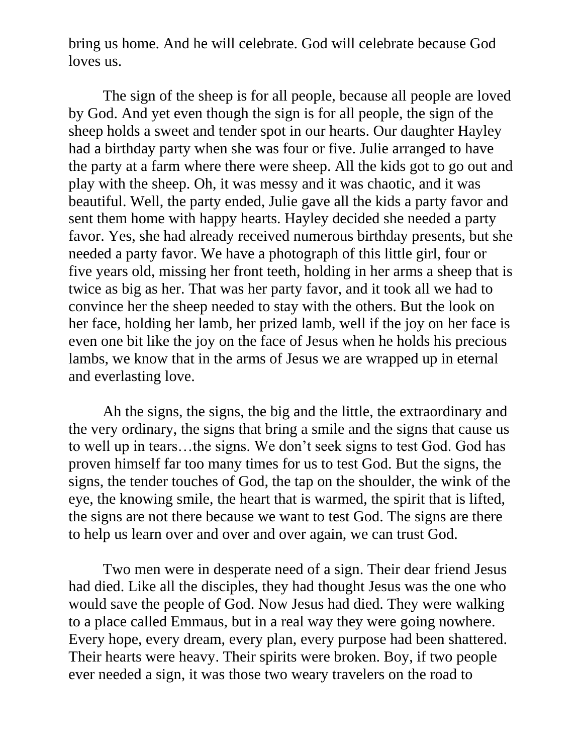bring us home. And he will celebrate. God will celebrate because God loves us.

The sign of the sheep is for all people, because all people are loved by God. And yet even though the sign is for all people, the sign of the sheep holds a sweet and tender spot in our hearts. Our daughter Hayley had a birthday party when she was four or five. Julie arranged to have the party at a farm where there were sheep. All the kids got to go out and play with the sheep. Oh, it was messy and it was chaotic, and it was beautiful. Well, the party ended, Julie gave all the kids a party favor and sent them home with happy hearts. Hayley decided she needed a party favor. Yes, she had already received numerous birthday presents, but she needed a party favor. We have a photograph of this little girl, four or five years old, missing her front teeth, holding in her arms a sheep that is twice as big as her. That was her party favor, and it took all we had to convince her the sheep needed to stay with the others. But the look on her face, holding her lamb, her prized lamb, well if the joy on her face is even one bit like the joy on the face of Jesus when he holds his precious lambs, we know that in the arms of Jesus we are wrapped up in eternal and everlasting love.

Ah the signs, the signs, the big and the little, the extraordinary and the very ordinary, the signs that bring a smile and the signs that cause us to well up in tears…the signs. We don't seek signs to test God. God has proven himself far too many times for us to test God. But the signs, the signs, the tender touches of God, the tap on the shoulder, the wink of the eye, the knowing smile, the heart that is warmed, the spirit that is lifted, the signs are not there because we want to test God. The signs are there to help us learn over and over and over again, we can trust God.

Two men were in desperate need of a sign. Their dear friend Jesus had died. Like all the disciples, they had thought Jesus was the one who would save the people of God. Now Jesus had died. They were walking to a place called Emmaus, but in a real way they were going nowhere. Every hope, every dream, every plan, every purpose had been shattered. Their hearts were heavy. Their spirits were broken. Boy, if two people ever needed a sign, it was those two weary travelers on the road to